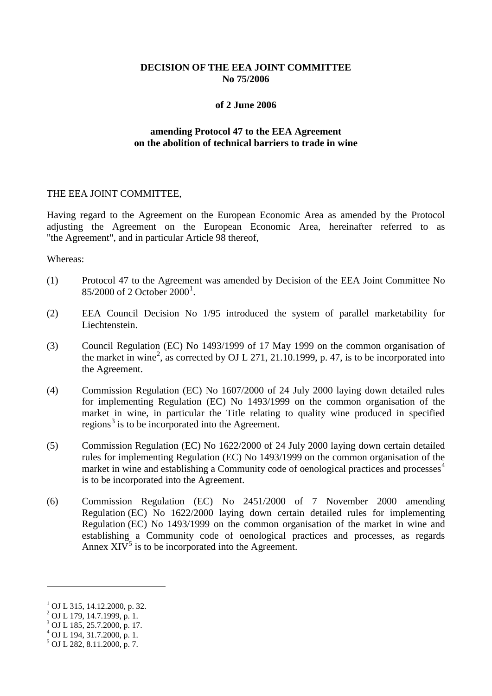# **DECISION OF THE EEA JOINT COMMITTEE No 75/2006**

### **of 2 June 2006**

## **amending Protocol 47 to the EEA Agreement on the abolition of technical barriers to trade in wine**

## THE EEA JOINT COMMITTEE,

Having regard to the Agreement on the European Economic Area as amended by the Protocol adjusting the Agreement on the European Economic Area, hereinafter referred to as "the Agreement", and in particular Article 98 thereof,

#### Whereas:

- (1) Protocol 47 to the Agreement was amended by Decision of the EEA Joint Committee No 85/2000 of 2 October 2000<sup>[1](#page-0-0)</sup>.
- (2) EEA Council Decision No 1/95 introduced the system of parallel marketability for Liechtenstein.
- (3) Council Regulation (EC) No 1493/1999 of 17 May 1999 on the common organisation of the market in wine<sup>[2](#page-0-1)</sup>, as corrected by OJ L 271, 21.10.1999, p. 47, is to be incorporated into the Agreement.
- (4) Commission Regulation (EC) No 1607/2000 of 24 July 2000 laying down detailed rules for implementing Regulation (EC) No 1493/1999 on the common organisation of the market in wine, in particular the Title relating to quality wine produced in specified regions<sup>[3](#page-0-2)</sup> is to be incorporated into the Agreement.
- (5) Commission Regulation (EC) No 1622/2000 of 24 July 2000 laying down certain detailed rules for implementing Regulation (EC) No 1493/1999 on the common organisation of the market in wine and establishing a Community code of oenological practices and processes<sup>[4](#page-0-3)</sup> is to be incorporated into the Agreement.
- (6) Commission Regulation (EC) No 2451/2000 of 7 November 2000 amending Regulation (EC) No 1622/2000 laying down certain detailed rules for implementing Regulation (EC) No 1493/1999 on the common organisation of the market in wine and establishing a Community code of oenological practices and processes, as regards Annex  $XIV^5$  $XIV^5$  is to be incorporated into the Agreement.

<span id="page-0-5"></span><u>.</u>

<span id="page-0-0"></span> $\frac{1}{2}$  OJ L 315, 14.12.2000, p. 32.<br> $\frac{2}{2}$  OJ L 179, 14.7.1999, p. 1.

<span id="page-0-1"></span>

<span id="page-0-2"></span> $3$  OJ L 185, 25.7.2000, p. 17.

<span id="page-0-3"></span> $^{4}$  OJ L 194, 31.7.2000, p. 1.

<span id="page-0-4"></span><sup>5</sup> OJ L 282, 8.11.2000, p. 7.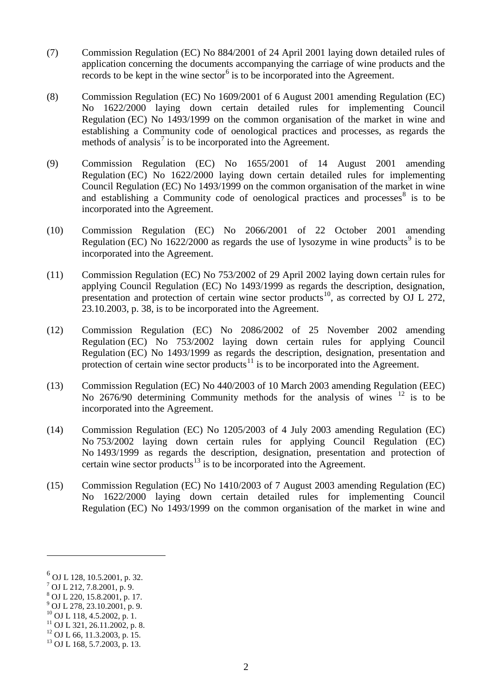- (7) Commission Regulation (EC) No 884/2001 of 24 April 2001 laying down detailed rules of application concerning the documents accompanying the carriage of wine products and the records to be kept in the wine sector<sup>[6](#page-0-5)</sup> is to be incorporated into the Agreement.
- (8) Commission Regulation (EC) No 1609/2001 of 6 August 2001 amending Regulation (EC) No 1622/2000 laying down certain detailed rules for implementing Council Regulation (EC) No 1493/1999 on the common organisation of the market in wine and establishing a Community code of oenological practices and processes, as regards the methods of analysis<sup>[7](#page-1-0)</sup> is to be incorporated into the Agreement.
- (9) Commission Regulation (EC) No 1655/2001 of 14 August 2001 amending Regulation (EC) No 1622/2000 laying down certain detailed rules for implementing Council Regulation (EC) No 1493/1999 on the common organisation of the market in wine and establishing a Community code of oenological practices and processes  $\delta$  is to be incorporated into the Agreement.
- (10) Commission Regulation (EC) No 2066/2001 of 22 October 2001 amending Regulation (EC) No  $1622/2000$  as regards the use of lysozyme in wine products<sup>[9](#page-1-2)</sup> is to be incorporated into the Agreement.
- (11) Commission Regulation (EC) No 753/2002 of 29 April 2002 laying down certain rules for applying Council Regulation (EC) No 1493/1999 as regards the description, designation, presentation and protection of certain wine sector products<sup>[10](#page-1-3)</sup>, as corrected by OJ L 272, 23.10.2003, p. 38, is to be incorporated into the Agreement.
- (12) Commission Regulation (EC) No 2086/2002 of 25 November 2002 amending Regulation (EC) No 753/2002 laying down certain rules for applying Council Regulation (EC) No 1493/1999 as regards the description, designation, presentation and protection of certain wine sector products $11$  is to be incorporated into the Agreement.
- (13) Commission Regulation (EC) No 440/2003 of 10 March 2003 amending Regulation (EEC) No 2676/90 determining Community methods for the analysis of wines <sup>[12](#page-1-5)</sup> is to be incorporated into the Agreement.
- (14) Commission Regulation (EC) No 1205/2003 of 4 July 2003 amending Regulation (EC) No 753/2002 laying down certain rules for applying Council Regulation (EC) No 1493/1999 as regards the description, designation, presentation and protection of certain wine sector products<sup>[13](#page-1-6)</sup> is to be incorporated into the Agreement.
- (15) Commission Regulation (EC) No 1410/2003 of 7 August 2003 amending Regulation (EC) No 1622/2000 laying down certain detailed rules for implementing Council Regulation (EC) No 1493/1999 on the common organisation of the market in wine and

<u>.</u>

<span id="page-1-7"></span> $^{6}$  OJ L 128, 10.5.2001, p. 32.

<span id="page-1-0"></span> $^7$  OJ L 212, 7.8.2001, p. 9.

<span id="page-1-1"></span><sup>8</sup> OJ L 220, 15.8.2001, p. 17.

<span id="page-1-2"></span> $^{9}$  OJ L 278, 23.10.2001, p. 9.<br><sup>10</sup> OJ L 118, 4.5.2002, p. 1.

<span id="page-1-3"></span>

<span id="page-1-4"></span><sup>&</sup>lt;sup>11</sup> OJ L 321, 26.11.2002, p. 8.<br><sup>12</sup> OJ L 66, 11.3.2003, p. 15.<br><sup>13</sup> OJ L 168, 5.7.2003, p. 13.

<span id="page-1-5"></span>

<span id="page-1-6"></span>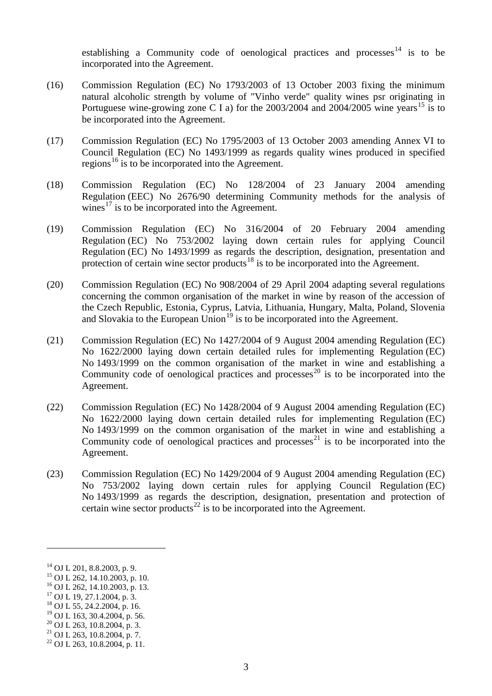establishing a Community code of oenological practices and processes<sup>[14](#page-1-7)</sup> is to be incorporated into the Agreement.

- (16) Commission Regulation (EC) No 1793/2003 of 13 October 2003 fixing the minimum natural alcoholic strength by volume of "Vinho verde" quality wines psr originating in Portuguese wine-growing zone C I a) for the  $2003/2004$  and  $2004/2005$  wine years<sup>[15](#page-2-0)</sup> is to be incorporated into the Agreement.
- (17) Commission Regulation (EC) No 1795/2003 of 13 October 2003 amending Annex VI to Council Regulation (EC) No 1493/1999 as regards quality wines produced in specified regions<sup>[16](#page-2-1)</sup> is to be incorporated into the Agreement.
- (18) Commission Regulation (EC) No 128/2004 of 23 January 2004 amending Regulation (EEC) No 2676/90 determining Community methods for the analysis of wines<sup>[17](#page-2-2)</sup> is to be incorporated into the Agreement.
- (19) Commission Regulation (EC) No 316/2004 of 20 February 2004 amending Regulation (EC) No 753/2002 laying down certain rules for applying Council Regulation (EC) No 1493/1999 as regards the description, designation, presentation and protection of certain wine sector products<sup>[18](#page-2-3)</sup> is to be incorporated into the Agreement.
- (20) Commission Regulation (EC) No 908/2004 of 29 April 2004 adapting several regulations concerning the common organisation of the market in wine by reason of the accession of the Czech Republic, Estonia, Cyprus, Latvia, Lithuania, Hungary, Malta, Poland, Slovenia and Slovakia to the European Union $19$  is to be incorporated into the Agreement.
- (21) Commission Regulation (EC) No 1427/2004 of 9 August 2004 amending Regulation (EC) No 1622/2000 laying down certain detailed rules for implementing Regulation (EC) No 1493/1999 on the common organisation of the market in wine and establishing a Community code of oenological practices and processes<sup>[20](#page-2-5)</sup> is to be incorporated into the Agreement.
- (22) Commission Regulation (EC) No 1428/2004 of 9 August 2004 amending Regulation (EC) No 1622/2000 laying down certain detailed rules for implementing Regulation (EC) No 1493/1999 on the common organisation of the market in wine and establishing a Community code of oenological practices and processes<sup>[21](#page-2-6)</sup> is to be incorporated into the Agreement.
- (23) Commission Regulation (EC) No 1429/2004 of 9 August 2004 amending Regulation (EC) No 753/2002 laying down certain rules for applying Council Regulation (EC) No 1493/1999 as regards the description, designation, presentation and protection of certain wine sector products<sup>[22](#page-2-7)</sup> is to be incorporated into the Agreement.

-

<span id="page-2-0"></span>

<sup>&</sup>lt;sup>14</sup> OJ L 201, 8.8.2003, p. 9.<br><sup>15</sup> OJ L 262, 14.10.2003, p. 10.<br><sup>16</sup> OJ L 262, 14.10.2003, p. 13.<br><sup>17</sup> OJ L 19, 27.1.2004, p. 3.<br><sup>18</sup> OJ L 55, 24.2.2004, p. 16.<br><sup>19</sup> OJ L 163, 30.4.2004, p. 56.

<span id="page-2-2"></span><span id="page-2-1"></span>

<span id="page-2-3"></span>

<span id="page-2-4"></span>

<span id="page-2-7"></span><span id="page-2-6"></span>

<span id="page-2-5"></span><sup>&</sup>lt;sup>20</sup> OJ L 263, 10.8.2004, p. 3.<br><sup>21</sup> OJ L 263, 10.8.2004, p. 7.<br><sup>22</sup> OJ L 263, 10.8.2004, p. 11.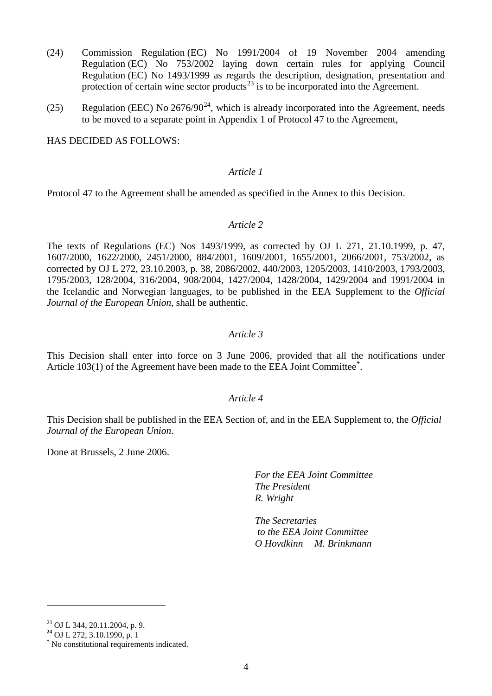- (24) Commission Regulation (EC) No 1991/2004 of 19 November 2004 amending Regulation (EC) No 753/2002 laying down certain rules for applying Council Regulation (EC) No 1493/1999 as regards the description, designation, presentation and protection of certain wine sector products<sup>[23](#page-2-5)</sup> is to be incorporated into the Agreement.
- (25) Regulation (EEC) No  $2676/90^{24}$ , which is already incorporated into the Agreement, needs to be moved to a separate point in Appendix 1 of Protocol 47 to the Agreement,

HAS DECIDED AS FOLLOWS:

## *Article 1*

Protocol 47 to the Agreement shall be amended as specified in the Annex to this Decision.

### *Article 2*

The texts of Regulations (EC) Nos 1493/1999, as corrected by OJ L 271, 21.10.1999, p. 47, 1607/2000, 1622/2000, 2451/2000, 884/2001, 1609/2001, 1655/2001, 2066/2001, 753/2002, as corrected by OJ L 272, 23.10.2003, p. 38, 2086/2002, 440/2003, 1205/2003, 1410/2003, 1793/2003, 1795/2003, 128/2004, 316/2004, 908/2004, 1427/2004, 1428/2004, 1429/2004 and 1991/2004 in the Icelandic and Norwegian languages, to be published in the EEA Supplement to the *Official Journal of the European Union*, shall be authentic.

## *Article 3*

This Decision shall enter into force on 3 June 2006, provided that all the notifications under Article 103(1) of the Agreement have been made to the EEA Joint Committee**[\\*](#page-3-1)** .

#### *Article 4*

This Decision shall be published in the EEA Section of, and in the EEA Supplement to, the *Official Journal of the European Union*.

Done at Brussels, 2 June 2006.

*For the EEA Joint Committee The President R. Wright*

*The Secretaries to the EEA Joint Committee O Hovdkinn M. Brinkmann*

-

<span id="page-3-1"></span><span id="page-3-0"></span>

<sup>23</sup> OJ L 344, 20.11.2004, p. 9. **<sup>24</sup>** OJ L 272, 3.10.1990, p. 1 **\*** No constitutional requirements indicated.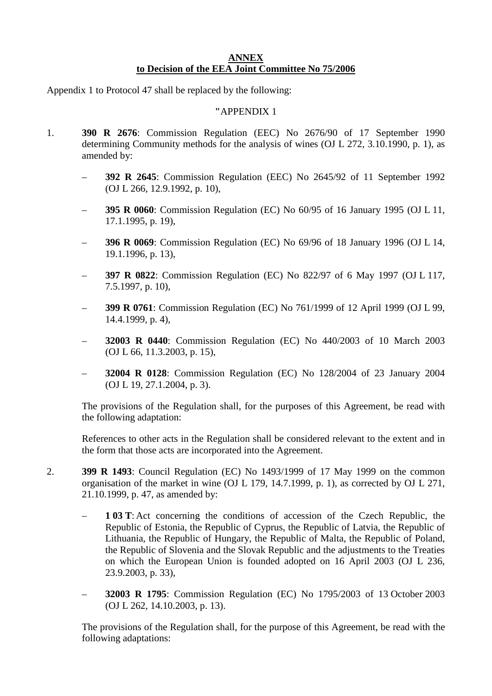# **ANNEX to Decision of the EEA Joint Committee No 75/2006**

Appendix 1 to Protocol 47 shall be replaced by the following:

## **"**APPENDIX 1

- 1. **390 R 2676**: Commission Regulation (EEC) No 2676/90 of 17 September 1990 determining Community methods for the analysis of wines (OJ L 272, 3.10.1990, p. 1), as amended by:
	- **392 R 2645**: Commission Regulation (EEC) No 2645/92 of 11 September 1992 (OJ L 266, 12.9.1992, p. 10),
	- **395 R 0060**: Commission Regulation (EC) No 60/95 of 16 January 1995 (OJ L 11, 17.1.1995, p. 19),
	- **396 R 0069**: Commission Regulation (EC) No 69/96 of 18 January 1996 (OJ L 14, 19.1.1996, p. 13),
	- **397 R 0822**: Commission Regulation (EC) No 822/97 of 6 May 1997 (OJ L 117, 7.5.1997, p. 10),
	- **399 R 0761**: Commission Regulation (EC) No 761/1999 of 12 April 1999 (OJ L 99, 14.4.1999, p. 4),
	- **32003 R 0440**: Commission Regulation (EC) No 440/2003 of 10 March 2003 (OJ L 66, 11.3.2003, p. 15),
	- **32004 R 0128**: Commission Regulation (EC) No 128/2004 of 23 January 2004 (OJ L 19, 27.1.2004, p. 3).

The provisions of the Regulation shall, for the purposes of this Agreement, be read with the following adaptation:

References to other acts in the Regulation shall be considered relevant to the extent and in the form that those acts are incorporated into the Agreement.

- 2. **399 R 1493**: Council Regulation (EC) No 1493/1999 of 17 May 1999 on the common organisation of the market in wine (OJ L 179, 14.7.1999, p. 1), as corrected by OJ L 271, 21.10.1999, p. 47, as amended by:
	- **1 03 T**: Act concerning the conditions of accession of the Czech Republic, the Republic of Estonia, the Republic of Cyprus, the Republic of Latvia, the Republic of Lithuania, the Republic of Hungary, the Republic of Malta, the Republic of Poland, the Republic of Slovenia and the Slovak Republic and the adjustments to the Treaties on which the European Union is founded adopted on 16 April 2003 (OJ L 236, 23.9.2003, p. 33),
	- **32003 R 1795**: Commission Regulation (EC) No 1795/2003 of 13 October 2003 (OJ L 262, 14.10.2003, p. 13).

The provisions of the Regulation shall, for the purpose of this Agreement, be read with the following adaptations: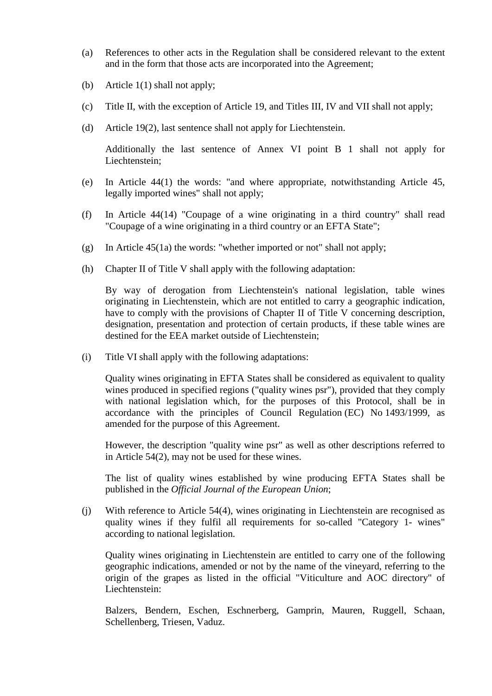- (a) References to other acts in the Regulation shall be considered relevant to the extent and in the form that those acts are incorporated into the Agreement;
- (b) Article 1(1) shall not apply;
- (c) Title II, with the exception of Article 19, and Titles III, IV and VII shall not apply;
- (d) Article 19(2), last sentence shall not apply for Liechtenstein.

Additionally the last sentence of Annex VI point B 1 shall not apply for Liechtenstein;

- (e) In Article 44(1) the words: "and where appropriate, notwithstanding Article 45, legally imported wines" shall not apply;
- (f) In Article 44(14) "Coupage of a wine originating in a third country" shall read "Coupage of a wine originating in a third country or an EFTA State";
- (g) In Article 45(1a) the words: "whether imported or not" shall not apply;
- (h) Chapter II of Title V shall apply with the following adaptation:

By way of derogation from Liechtenstein's national legislation, table wines originating in Liechtenstein, which are not entitled to carry a geographic indication, have to comply with the provisions of Chapter II of Title V concerning description, designation, presentation and protection of certain products, if these table wines are destined for the EEA market outside of Liechtenstein;

(i) Title VI shall apply with the following adaptations:

Quality wines originating in EFTA States shall be considered as equivalent to quality wines produced in specified regions ("quality wines psr"), provided that they comply with national legislation which, for the purposes of this Protocol, shall be in accordance with the principles of Council Regulation (EC) No 1493/1999, as amended for the purpose of this Agreement.

However, the description "quality wine psr" as well as other descriptions referred to in Article 54(2), may not be used for these wines.

The list of quality wines established by wine producing EFTA States shall be published in the *Official Journal of the European Union*;

(j) With reference to Article 54(4), wines originating in Liechtenstein are recognised as quality wines if they fulfil all requirements for so-called "Category 1- wines" according to national legislation.

Quality wines originating in Liechtenstein are entitled to carry one of the following geographic indications, amended or not by the name of the vineyard, referring to the origin of the grapes as listed in the official "Viticulture and AOC directory" of Liechtenstein:

Balzers, Bendern, Eschen, Eschnerberg, Gamprin, Mauren, Ruggell, Schaan, Schellenberg, Triesen, Vaduz.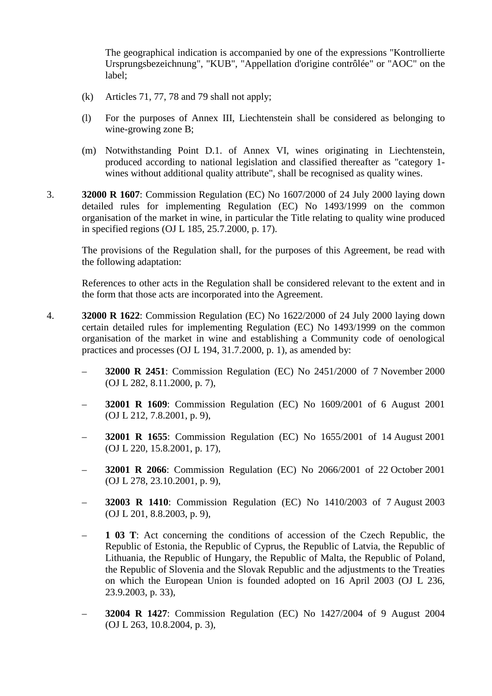The geographical indication is accompanied by one of the expressions "Kontrollierte Ursprungsbezeichnung", "KUB", "Appellation d'origine contrôlée" or "AOC" on the label;

- (k) Articles 71, 77, 78 and 79 shall not apply;
- (l) For the purposes of Annex III, Liechtenstein shall be considered as belonging to wine-growing zone B;
- (m) Notwithstanding Point D.1. of Annex VI, wines originating in Liechtenstein, produced according to national legislation and classified thereafter as "category 1 wines without additional quality attribute", shall be recognised as quality wines.
- 3. **32000 R 1607**: Commission Regulation (EC) No 1607/2000 of 24 July 2000 laying down detailed rules for implementing Regulation (EC) No 1493/1999 on the common organisation of the market in wine, in particular the Title relating to quality wine produced in specified regions (OJ L 185, 25.7.2000, p. 17).

The provisions of the Regulation shall, for the purposes of this Agreement, be read with the following adaptation:

References to other acts in the Regulation shall be considered relevant to the extent and in the form that those acts are incorporated into the Agreement.

- 4. **32000 R 1622**: Commission Regulation (EC) No 1622/2000 of 24 July 2000 laying down certain detailed rules for implementing Regulation (EC) No 1493/1999 on the common organisation of the market in wine and establishing a Community code of oenological practices and processes (OJ L 194, 31.7.2000, p. 1), as amended by:
	- **32000 R 2451**: Commission Regulation (EC) No 2451/2000 of 7 November 2000 (OJ L 282, 8.11.2000, p. 7),
	- **32001 R 1609**: Commission Regulation (EC) No 1609/2001 of 6 August 2001 (OJ L 212, 7.8.2001, p. 9),
	- **32001 R 1655**: Commission Regulation (EC) No 1655/2001 of 14 August 2001 (OJ L 220, 15.8.2001, p. 17),
	- **32001 R 2066**: Commission Regulation (EC) No 2066/2001 of 22 October 2001 (OJ L 278, 23.10.2001, p. 9),
	- **32003 R 1410**: Commission Regulation (EC) No 1410/2003 of 7 August 2003 (OJ L 201, 8.8.2003, p. 9),
	- **1 03 T**: Act concerning the conditions of accession of the Czech Republic, the Republic of Estonia, the Republic of Cyprus, the Republic of Latvia, the Republic of Lithuania, the Republic of Hungary, the Republic of Malta, the Republic of Poland, the Republic of Slovenia and the Slovak Republic and the adjustments to the Treaties on which the European Union is founded adopted on 16 April 2003 (OJ L 236, 23.9.2003, p. 33),
	- **32004 R 1427**: Commission Regulation (EC) No 1427/2004 of 9 August 2004 (OJ L 263, 10.8.2004, p. 3),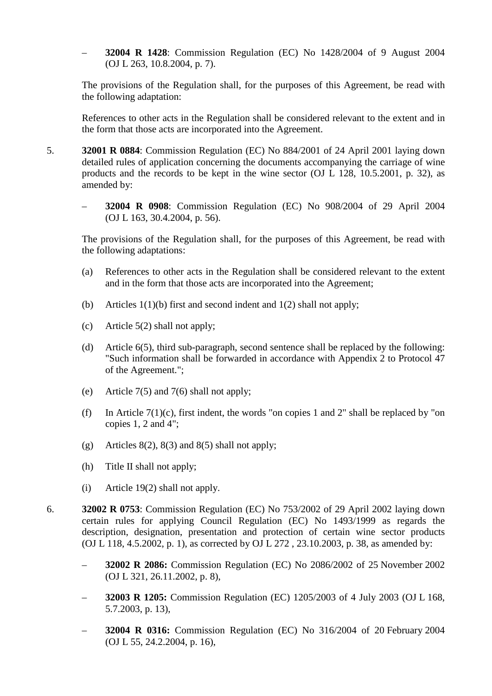– **32004 R 1428**: Commission Regulation (EC) No 1428/2004 of 9 August 2004 (OJ L 263, 10.8.2004, p. 7).

The provisions of the Regulation shall, for the purposes of this Agreement, be read with the following adaptation:

References to other acts in the Regulation shall be considered relevant to the extent and in the form that those acts are incorporated into the Agreement.

- 5. **32001 R 0884**: Commission Regulation (EC) No 884/2001 of 24 April 2001 laying down detailed rules of application concerning the documents accompanying the carriage of wine products and the records to be kept in the wine sector (OJ L 128, 10.5.2001, p. 32), as amended by:
	- **32004 R 0908**: Commission Regulation (EC) No 908/2004 of 29 April 2004 (OJ L 163, 30.4.2004, p. 56).

The provisions of the Regulation shall, for the purposes of this Agreement, be read with the following adaptations:

- (a) References to other acts in the Regulation shall be considered relevant to the extent and in the form that those acts are incorporated into the Agreement;
- (b) Articles 1(1)(b) first and second indent and 1(2) shall not apply;
- (c) Article 5(2) shall not apply;
- (d) Article 6(5), third sub-paragraph, second sentence shall be replaced by the following: "Such information shall be forwarded in accordance with Appendix 2 to Protocol 47 of the Agreement.";
- (e) Article 7(5) and 7(6) shall not apply;
- (f) In Article  $7(1)(c)$ , first indent, the words "on copies 1 and 2" shall be replaced by "on copies 1, 2 and 4";
- (g) Articles  $8(2)$ ,  $8(3)$  and  $8(5)$  shall not apply;
- (h) Title II shall not apply;
- (i) Article 19(2) shall not apply.
- 6. **32002 R 0753**: Commission Regulation (EC) No 753/2002 of 29 April 2002 laying down certain rules for applying Council Regulation (EC) No 1493/1999 as regards the description, designation, presentation and protection of certain wine sector products (OJ L 118, 4.5.2002, p. 1), as corrected by OJ L 272 , 23.10.2003, p. 38, as amended by:
	- **32002 R 2086:** Commission Regulation (EC) No 2086/2002 of 25 November 2002 (OJ L 321, 26.11.2002, p. 8),
	- **32003 R 1205:** Commission Regulation (EC) 1205/2003 of 4 July 2003 (OJ L 168, 5.7.2003, p. 13),
	- **32004 R 0316:** Commission Regulation (EC) No 316/2004 of 20 February 2004 (OJ L 55, 24.2.2004, p. 16),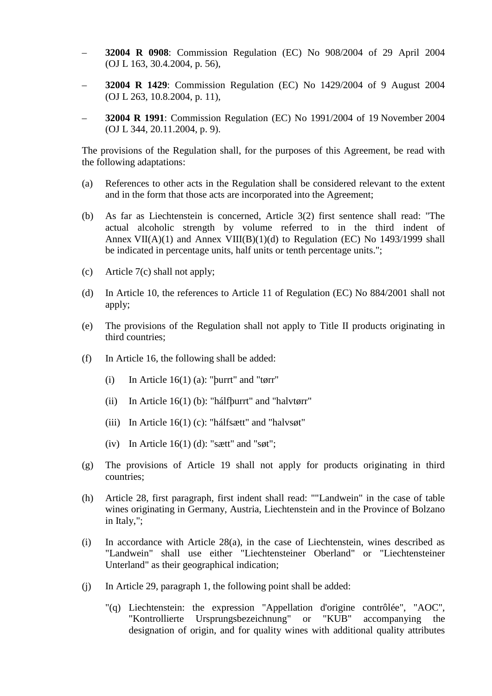- **32004 R 0908**: Commission Regulation (EC) No 908/2004 of 29 April 2004 (OJ L 163, 30.4.2004, p. 56),
- **32004 R 1429**: Commission Regulation (EC) No 1429/2004 of 9 August 2004 (OJ L 263, 10.8.2004, p. 11),
- **32004 R 1991**: Commission Regulation (EC) No 1991/2004 of 19 November 2004 (OJ L 344, 20.11.2004, p. 9).

The provisions of the Regulation shall, for the purposes of this Agreement, be read with the following adaptations:

- (a) References to other acts in the Regulation shall be considered relevant to the extent and in the form that those acts are incorporated into the Agreement;
- (b) As far as Liechtenstein is concerned, Article 3(2) first sentence shall read: "The actual alcoholic strength by volume referred to in the third indent of Annex VII(A)(1) and Annex VIII(B)(1)(d) to Regulation (EC) No  $1493/1999$  shall be indicated in percentage units, half units or tenth percentage units.";
- (c) Article 7(c) shall not apply;
- (d) In Article 10, the references to Article 11 of Regulation (EC) No 884/2001 shall not apply;
- (e) The provisions of the Regulation shall not apply to Title II products originating in third countries;
- (f) In Article 16, the following shall be added:
	- (i) In Article 16(1) (a): "þurrt" and "tørr"
	- (ii) In Article 16(1) (b): "hálfþurrt" and "halvtørr"
	- (iii) In Article 16(1) (c): "hálfsætt" and "halvsøt"
	- (iv) In Article  $16(1)$  (d): "sætt" and "søt";
- (g) The provisions of Article 19 shall not apply for products originating in third countries;
- (h) Article 28, first paragraph, first indent shall read: ""Landwein" in the case of table wines originating in Germany, Austria, Liechtenstein and in the Province of Bolzano in Italy,";
- (i) In accordance with Article 28(a), in the case of Liechtenstein, wines described as "Landwein" shall use either "Liechtensteiner Oberland" or "Liechtensteiner Unterland" as their geographical indication;
- (j) In Article 29, paragraph 1, the following point shall be added:
	- "(q) Liechtenstein: the expression "Appellation d'origine contrôlée", "AOC", "Kontrollierte Ursprungsbezeichnung" or "KUB" accompanying the designation of origin, and for quality wines with additional quality attributes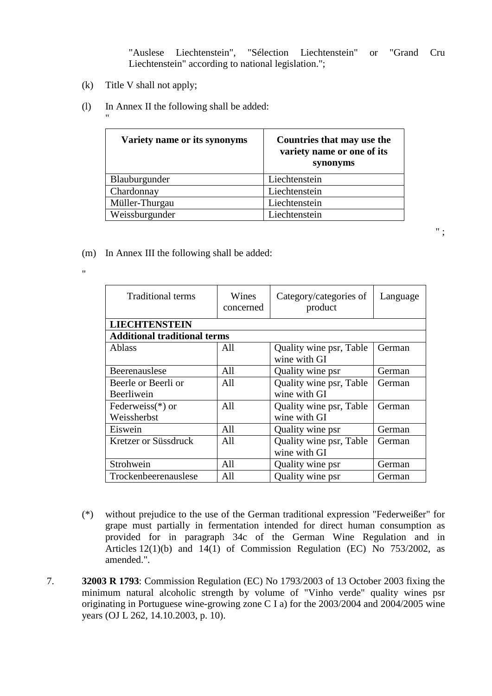"Auslese Liechtenstein", "Sélection Liechtenstein" or "Grand Cru Liechtenstein" according to national legislation.";

" ;

(k) Title V shall not apply;

"

"

(l) In Annex II the following shall be added:

| Variety name or its synonyms | Countries that may use the<br>variety name or one of its<br>synonyms |
|------------------------------|----------------------------------------------------------------------|
| Blauburgunder                | Liechtenstein                                                        |
| Chardonnay                   | Liechtenstein                                                        |
| Müller-Thurgau               | Liechtenstein                                                        |
| Weissburgunder               | Liechtenstein                                                        |

(m) In Annex III the following shall be added:

| <b>Traditional terms</b>            | Wines<br>concerned | Category/categories of<br>product       | Language |  |
|-------------------------------------|--------------------|-----------------------------------------|----------|--|
| <b>LIECHTENSTEIN</b>                |                    |                                         |          |  |
| <b>Additional traditional terms</b> |                    |                                         |          |  |
| <b>Ablass</b>                       | All                | Quality wine psr, Table<br>wine with GI | German   |  |
| Beerenauslese                       | All                | Quality wine psr                        | German   |  |
| Beerle or Beerli or<br>Beerliwein   | All                | Quality wine psr, Table<br>wine with GI | German   |  |
| Federweiss $(*)$ or<br>Weissherbst  | A11                | Quality wine psr, Table<br>wine with GI | German   |  |
| Eiswein                             | All                | Quality wine psr                        | German   |  |
| Kretzer or Süssdruck                | All                | Quality wine psr, Table<br>wine with GI | German   |  |
| Strohwein                           | A11                | Quality wine psr                        | German   |  |
| Trockenbeerenauslese                | All                | Quality wine psr                        | German   |  |

- (\*) without prejudice to the use of the German traditional expression "Federweißer" for grape must partially in fermentation intended for direct human consumption as provided for in paragraph 34c of the German Wine Regulation and in Articles 12(1)(b) and 14(1) of Commission Regulation (EC) No 753/2002, as amended.".
- 7. **32003 R 1793**: Commission Regulation (EC) No 1793/2003 of 13 October 2003 fixing the minimum natural alcoholic strength by volume of "Vinho verde" quality wines psr originating in Portuguese wine-growing zone C I a) for the 2003/2004 and 2004/2005 wine years (OJ L 262, 14.10.2003, p. 10).